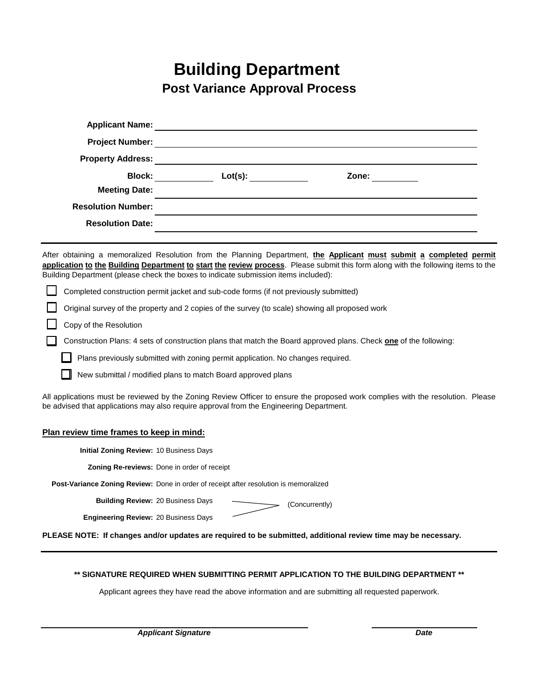### **Building Department Post Variance Approval Process**

| <b>Applicant Name:</b>    |         |       |  |
|---------------------------|---------|-------|--|
| <b>Project Number:</b>    |         |       |  |
| <b>Property Address:</b>  |         |       |  |
| <b>Block:</b>             | Lot(s): | Zone: |  |
| <b>Meeting Date:</b>      |         |       |  |
| <b>Resolution Number:</b> |         |       |  |
| <b>Resolution Date:</b>   |         |       |  |
|                           |         |       |  |

After obtaining a memoralized Resolution from the Planning Department, **the Applicant must submit a completed permit application to the Building Department to start the review process**. Please submit this form along with the following items to the Building Department (please check the boxes to indicate submission items included):

Completed construction permit jacket and sub-code forms (if not previously submitted)

Original survey of the property and 2 copies of the survey (to scale) showing all proposed work

**Copy of the Resolution** 

Construction Plans: 4 sets of construction plans that match the Board approved plans. Check **one** of the following:

Plans previously submitted with zoning permit application. No changes required.

New submittal / modified plans to match Board approved plans

All applications must be reviewed by the Zoning Review Officer to ensure the proposed work complies with the resolution. Please be advised that applications may also require approval from the Engineering Department.

#### **Plan review time frames to keep in mind:**

**Initial Zoning Review:** 10 Business Days

**Zoning Re-reviews:** Done in order of receipt

**Post-Variance Zoning Review:** Done in order of receipt after resolution is memoralized

**Building Review:** 20 Business Days

**Engineering Review:** 20 Business Days

(Concurrently)

**PLEASE NOTE: If changes and/or updates are required to be submitted, additional review time may be necessary.**

#### **\*\* SIGNATURE REQUIRED WHEN SUBMITTING PERMIT APPLICATION TO THE BUILDING DEPARTMENT \*\***

Applicant agrees they have read the above information and are submitting all requested paperwork.

*Applicant Signature Date*